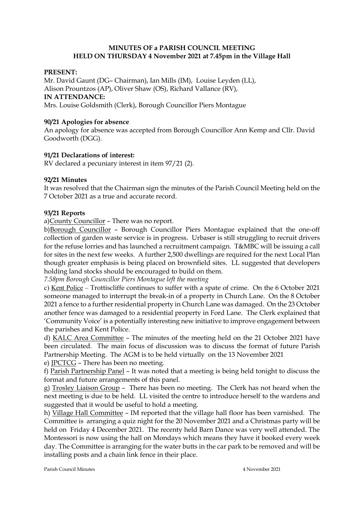## **MINUTES OF a PARISH COUNCIL MEETING HELD ON THURSDAY 4 November 2021 at 7.45pm in the Village Hall**

### **PRESENT:**

Mr. David Gaunt (DG– Chairman), Ian Mills (IM), Louise Leyden (LL), Alison Prountzos (AP), Oliver Shaw (OS), Richard Vallance (RV), **IN ATTENDANCE:**  Mrs. Louise Goldsmith (Clerk), Borough Councillor Piers Montague

### **90/21 Apologies for absence**

An apology for absence was accepted from Borough Councillor Ann Kemp and Cllr. David Goodworth (DGG).

### **91/21 Declarations of interest:**

RV declared a pecuniary interest in item 97/21 (2).

### **92/21 Minutes**

It was resolved that the Chairman sign the minutes of the Parish Council Meeting held on the 7 October 2021 as a true and accurate record.

### **93/21 Reports**

a)County Councillor – There was no report.

b)Borough Councillor – Borough Councillor Piers Montague explained that the one-off collection of garden waste service is in progress. Urbaser is still struggling to recruit drivers for the refuse lorries and has launched a recruitment campaign. T&MBC will be issuing a call for sites in the next few weeks. A further 2,500 dwellings are required for the next Local Plan though greater emphasis is being placed on brownfield sites. LL suggested that developers holding land stocks should be encouraged to build on them.

*7.58pm Borough Councillor Piers Montague left the meeting* 

c) Kent Police – Trottiscliffe continues to suffer with a spate of crime. On the 6 October 2021 someone managed to interrupt the break-in of a property in Church Lane. On the 8 October 2021 a fence to a further residential property in Church Lane was damaged. On the 23 October another fence was damaged to a residential property in Ford Lane. The Clerk explained that 'Community Voice' is a potentially interesting new initiative to improve engagement between the parishes and Kent Police.

d) KALC Area Committee – The minutes of the meeting held on the 21 October 2021 have been circulated. The main focus of discussion was to discuss the format of future Parish Partnership Meeting. The AGM is to be held virtually on the 13 November 2021

e) JPCTCG – There has been no meeting.

f) Parish Partnership Panel – It was noted that a meeting is being held tonight to discuss the format and future arrangements of this panel.

g) Trosley Liaison Group – There has been no meeting. The Clerk has not heard when the next meeting is due to be held. LL visited the centre to introduce herself to the wardens and suggested that it would be useful to hold a meeting.

h) Village Hall Committee – IM reported that the village hall floor has been varnished. The Committee is arranging a quiz night for the 20 November 2021 and a Christmas party will be held on Friday 4 December 2021. The recenty held Barn Dance was very well attended. The Montessori is now using the hall on Mondays which means they have it booked every week day. The Committee is arranging for the water butts in the car park to be removed and will be installing posts and a chain link fence in their place.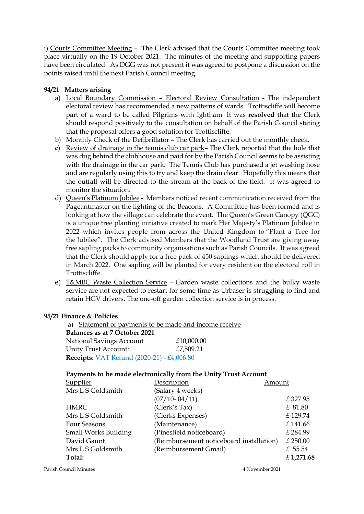i) Courts Committee Meeting – The Clerk advised that the Courts Committee meeting took place virtually on the 19 October 2021. The minutes of the meeting and supporting papers have been circulated. As DGG was not present it was agreed to postpone a discussion on the points raised until the next Parish Council meeting.

## **94/21 Matters arising**

- a) Local Boundary Commission Electoral Review Consultation The independent electoral review has recommended a new patterns of wards. Trottiscliffe will become part of a ward to be called Pilgrims with Ightham. It was **resolved** that the Clerk should respond positively to the consultation on behalf of the Parish Council stating that the proposal offers a good solution for Trottiscliffe.
- b) Monthly Check of the Defibrillator The Clerk has carried out the monthly check.
- **c)** Review of drainage in the tennis club car park– The Clerk reported that the hole that was dug behind the clubhouse and paid for by the Parish Council seems to be assisting with the drainage in the car park. The Tennis Club has purchased a jet washing hose and are regularly using this to try and keep the drain clear. Hopefully this means that the outfall will be directed to the stream at the back of the field. It was agreed to monitor the situation.
- d) Queen's Platinum Jubilee Members noticed recent communication received from the Pageantmaster on the lighting of the Beacons. A Committee has been formed and is looking at how the village can celebrate the event. The Queen's Green Canopy (QGC) is a unique tree planting initiative created to mark Her Majesty's Platinum Jubilee in 2022 which invites people from across the United Kingdom to "Plant a Tree for the Jubilee". The Clerk advised Members that the Woodland Trust are giving away free sapling packs to community organisations such as Parish Councils. It was agreed that the Clerk should apply for a free pack of 450 saplings which should be delivered in March 2022. One sapling will be planted for every resident on the electoral roll in Trottiscliffe.
- e) T&MBC Waste Collection Service Garden waste collections and the bulky waste service are not expected to restart for some time as Urbaser is struggling to find and retain HGV drivers. The one-off garden collection service is in process.

## **95/21 Finance & Policies**

a) Statement of payments to be made and income receive  **Balances as at 7 October 2021**  National Savings Account £10,000.00 Unity Trust Account: £7,509.21  **Receipts:** VAT Refund (2020-21) - £4,006.80

## **Payments to be made electronically from the Unity Trust Account**

| <b>Supplier</b>      | Description                              | Amount     |  |
|----------------------|------------------------------------------|------------|--|
| Mrs L S Goldsmith    | (Salary 4 weeks)                         |            |  |
|                      | $(07/10 - 04/11)$                        | £327.95    |  |
| <b>HMRC</b>          | (Clerk's Tax)                            | £ 81.80    |  |
| Mrs L S Goldsmith    | (Clerks Expenses)                        | £129.74    |  |
| Four Seasons         | (Maintenance)                            | £141.66    |  |
| Small Works Building | (Pinesfield noticeboard)                 | £284.99    |  |
| David Gaunt          | (Reimbursement noticeboard installation) | $£$ 250.00 |  |
| Mrs L S Goldsmith    | (Reimbursement Gmail)                    | £ 55.54    |  |
| Total:               |                                          | £1,271.68  |  |
|                      |                                          |            |  |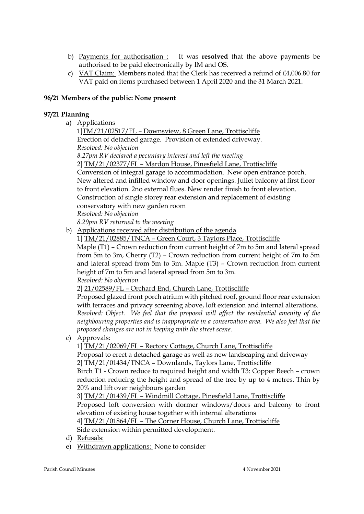- b) Payments for authorisation : It was **resolved** that the above payments be authorised to be paid electronically by IM and OS.
- c) VAT Claim: Members noted that the Clerk has received a refund of £4,006.80 for VAT paid on items purchased between 1 April 2020 and the 31 March 2021.

## **96/21 Members of the public: None present**

## **97/21 Planning**

a) Applications

1]TM/21/02517/FL – Downsview, 8 Green Lane, Trottiscliffe Erection of detached garage. Provision of extended driveway. *Resolved: No objection 8.27pm RV declared a pecuniary interest and left the meeting*  2] TM/21/02377/FL – Mardon House, Pinesfield Lane, Trottiscliffe Conversion of integral garage to accommodation. New open entrance porch. New altered and infilled window and door openings. Juliet balcony at first floor to front elevation. 2no external flues. New render finish to front elevation. Construction of single storey rear extension and replacement of existing conservatory with new garden room *Resolved: No objection*

*8.29pm RV returned to the meeting* 

- b) Applications received after distribution of the agenda
	- 1] TM/21/02885/TNCA Green Court, 3 Taylors Place, Trottiscliffe

Maple (T1) – Crown reduction from current height of 7m to 5m and lateral spread from 5m to 3m, Cherry (T2) – Crown reduction from current height of 7m to 5m and lateral spread from 5m to 3m. Maple (T3) – Crown reduction from current height of 7m to 5m and lateral spread from 5m to 3m.

*Resolved: No objection* 

2] 21/02589/FL – Orchard End, Church Lane, Trottiscliffe

Proposed glazed front porch atrium with pitched roof, ground floor rear extension with terraces and privacy screening above, loft extension and internal alterations. *Resolved: Object. We feel that the proposal will affect the residential amenity of the neighbouring properties and is inappropriate in a conservation area. We also feel that the proposed changes are not in keeping with the street scene.* 

c) Approvals:

1] TM/21/02069/FL – Rectory Cottage, Church Lane, Trottiscliffe

Proposal to erect a detached garage as well as new landscaping and driveway 2] TM/21/01434/TNCA – Downlands, Taylors Lane, Trottiscliffe

Birch T1 - Crown reduce to required height and width T3: Copper Beech – crown reduction reducing the height and spread of the tree by up to 4 metres. Thin by 20% and lift over neighbours garden

3] TM/21/01439/FL – Windmill Cottage, Pinesfield Lane, Trottiscliffe

Proposed loft conversion with dormer windows/doors and balcony to front elevation of existing house together with internal alterations

4] TM/21/01864/FL – The Corner House, Church Lane, Trottiscliffe

Side extension within permitted development.

- d) Refusals:
- e) Withdrawn applications: None to consider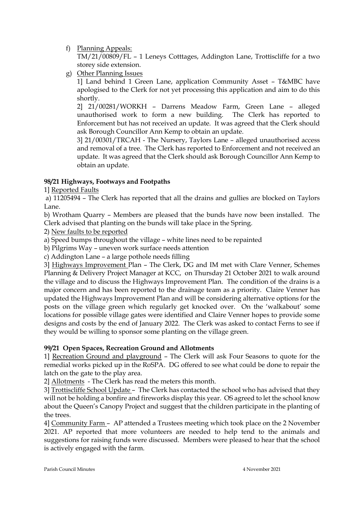f) Planning Appeals:

TM/21/00809/FL – 1 Leneys Cotttages, Addington Lane, Trottiscliffe for a two storey side extension.

g) Other Planning Issues

1] Land behind 1 Green Lane, application Community Asset – T&MBC have apologised to the Clerk for not yet processing this application and aim to do this shortly.

2] 21/00281/WORKH – Darrens Meadow Farm, Green Lane – alleged unauthorised work to form a new building. The Clerk has reported to Enforcement but has not received an update. It was agreed that the Clerk should ask Borough Councillor Ann Kemp to obtain an update.

3] 21/00301/TRCAH - The Nursery, Taylors Lane – alleged unauthorised access and removal of a tree. The Clerk has reported to Enforcement and not received an update. It was agreed that the Clerk should ask Borough Councillor Ann Kemp to obtain an update.

# **98/21 Highways, Footways and Footpaths**

1] Reported Faults

a) 11205494 – The Clerk has reported that all the drains and gullies are blocked on Taylors Lane.

b) Wrotham Quarry – Members are pleased that the bunds have now been installed. The Clerk advised that planting on the bunds will take place in the Spring.

2) New faults to be reported

a) Speed bumps throughout the village – white lines need to be repainted

b) Pilgrims Way – uneven work surface needs attention

c) Addington Lane – a large pothole needs filling

3] Highways Improvement Plan – The Clerk, DG and IM met with Clare Venner, Schemes Planning & Delivery Project Manager at KCC, on Thursday 21 October 2021 to walk around the village and to discuss the Highways Improvement Plan. The condition of the drains is a major concern and has been reported to the drainage team as a priority. Claire Venner has updated the Highways Improvement Plan and will be considering alternative options for the posts on the village green which regularly get knocked over. On the 'walkabout' some locations for possible village gates were identified and Claire Venner hopes to provide some designs and costs by the end of January 2022. The Clerk was asked to contact Ferns to see if they would be willing to sponsor some planting on the village green.

# **99/21 Open Spaces, Recreation Ground and Allotments**

1] Recreation Ground and playground – The Clerk will ask Four Seasons to quote for the remedial works picked up in the RoSPA. DG offered to see what could be done to repair the latch on the gate to the play area.

2] Allotments - The Clerk has read the meters this month.

3] Trottiscliffe School Update – The Clerk has contacted the school who has advised that they will not be holding a bonfire and fireworks display this year. OS agreed to let the school know about the Queen's Canopy Project and suggest that the children participate in the planting of the trees.

4] Community Farm – AP attended a Trustees meeting which took place on the 2 November 2021. AP reported that more volunteers are needed to help tend to the animals and suggestions for raising funds were discussed. Members were pleased to hear that the school is actively engaged with the farm.